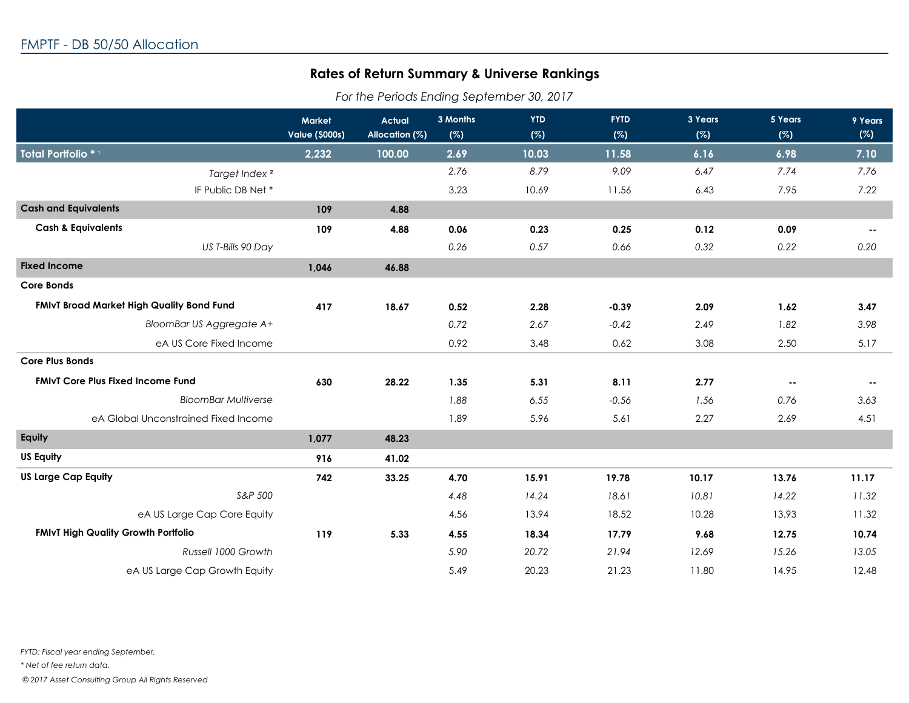## **Rates of Return Summary & Universe Rankings**

*For the Periods Ending September 30, 2017*

|                                            | Market<br><b>Value (\$000s)</b> | <b>Actual</b><br>Allocation (%) | 3 Months<br>(%) | <b>YTD</b><br>(%) | <b>FYTD</b><br>(%) | 3 Years<br>(%) | 5 Years<br>(%) | 9 Years<br>(%) |
|--------------------------------------------|---------------------------------|---------------------------------|-----------------|-------------------|--------------------|----------------|----------------|----------------|
| Total Portfolio *1                         | 2,232                           | 100.00                          | 2.69            | 10.03             | 11.58              | 6.16           | 6.98           | 7.10           |
| Target Index <sup>2</sup>                  |                                 |                                 | 2.76            | 8.79              | 9.09               | 6.47           | 7.74           | 7.76           |
| IF Public DB Net*                          |                                 |                                 | 3.23            | 10.69             | 11.56              | 6.43           | 7.95           | 7.22           |
| <b>Cash and Equivalents</b>                | 109                             | 4.88                            |                 |                   |                    |                |                |                |
| <b>Cash &amp; Equivalents</b>              | 109                             | 4.88                            | 0.06            | 0.23              | 0.25               | 0.12           | 0.09           | $\sim$ $\sim$  |
| US T-Bills 90 Day                          |                                 |                                 | 0.26            | 0.57              | 0.66               | 0.32           | 0.22           | 0.20           |
| <b>Fixed Income</b>                        | 1,046                           | 46.88                           |                 |                   |                    |                |                |                |
| <b>Core Bonds</b>                          |                                 |                                 |                 |                   |                    |                |                |                |
| FMIvT Broad Market High Quality Bond Fund  | 417                             | 18.67                           | 0.52            | 2.28              | $-0.39$            | 2.09           | 1.62           | 3.47           |
| BloomBar US Aggregate A+                   |                                 |                                 | 0.72            | 2.67              | $-0.42$            | 2.49           | 1.82           | 3.98           |
| eA US Core Fixed Income                    |                                 |                                 | 0.92            | 3.48              | 0.62               | 3.08           | 2.50           | 5.17           |
| <b>Core Plus Bonds</b>                     |                                 |                                 |                 |                   |                    |                |                |                |
| <b>FMIVT Core Plus Fixed Income Fund</b>   | 630                             | 28.22                           | 1.35            | 5.31              | 8.11               | 2.77           | $\sim$ $\sim$  | $\sim$ $\sim$  |
| <b>BloomBar Multiverse</b>                 |                                 |                                 | 1.88            | 6.55              | $-0.56$            | 1.56           | 0.76           | 3.63           |
| eA Global Unconstrained Fixed Income       |                                 |                                 | 1.89            | 5.96              | 5.61               | 2.27           | 2.69           | 4.51           |
| Equity                                     | 1,077                           | 48.23                           |                 |                   |                    |                |                |                |
| <b>US Equity</b>                           | 916                             | 41.02                           |                 |                   |                    |                |                |                |
| <b>US Large Cap Equity</b>                 | 742                             | 33.25                           | 4.70            | 15.91             | 19.78              | 10.17          | 13.76          | 11.17          |
| S&P 500                                    |                                 |                                 | 4.48            | 14.24             | 18.61              | 10.81          | 14.22          | 11.32          |
| eA US Large Cap Core Equity                |                                 |                                 | 4.56            | 13.94             | 18.52              | 10.28          | 13.93          | 11.32          |
| <b>FMIvT High Quality Growth Portfolio</b> | 119                             | 5.33                            | 4.55            | 18.34             | 17.79              | 9.68           | 12.75          | 10.74          |
| Russell 1000 Growth                        |                                 |                                 | 5.90            | 20.72             | 21.94              | 12.69          | 15.26          | 13.05          |
| eA US Large Cap Growth Equity              |                                 |                                 | 5.49            | 20.23             | 21.23              | 11.80          | 14.95          | 12.48          |

*FYTD: Fiscal year ending September.*

*\* Net of fee return data.*

 *© 2017 Asset Consulting Group All Rights Reserved*